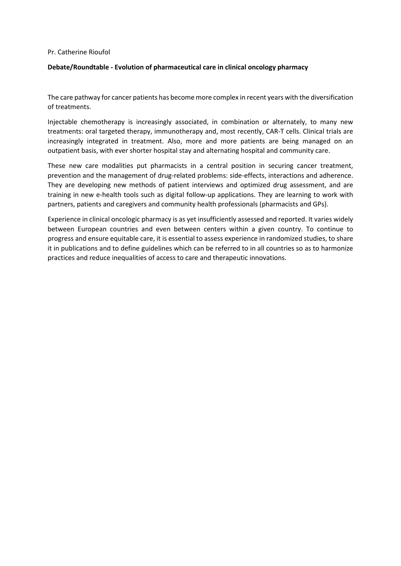## Pr. Catherine Rioufol

## **Debate/Roundtable - Evolution of pharmaceutical care in clinical oncology pharmacy**

The care pathway for cancer patients has become more complex in recent years with the diversification of treatments.

Injectable chemotherapy is increasingly associated, in combination or alternately, to many new treatments: oral targeted therapy, immunotherapy and, most recently, CAR-T cells. Clinical trials are increasingly integrated in treatment. Also, more and more patients are being managed on an outpatient basis, with ever shorter hospital stay and alternating hospital and community care.

These new care modalities put pharmacists in a central position in securing cancer treatment, prevention and the management of drug-related problems: side-effects, interactions and adherence. They are developing new methods of patient interviews and optimized drug assessment, and are training in new e-health tools such as digital follow-up applications. They are learning to work with partners, patients and caregivers and community health professionals (pharmacists and GPs).

Experience in clinical oncologic pharmacy is as yet insufficiently assessed and reported. It varies widely between European countries and even between centers within a given country. To continue to progress and ensure equitable care, it is essential to assess experience in randomized studies, to share it in publications and to define guidelines which can be referred to in all countries so as to harmonize practices and reduce inequalities of access to care and therapeutic innovations.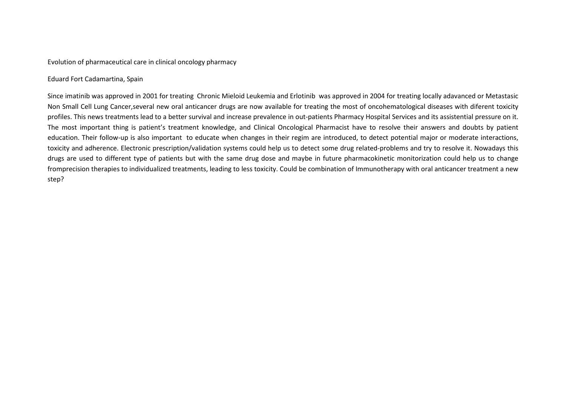Evolution of pharmaceutical care in clinical oncology pharmacy

## Eduard Fort Cadamartina, Spain

Since imatinib was approved in 2001 for treating Chronic Mieloid Leukemia and Erlotinib was approved in 2004 for treating locally adavanced or Metastasic Non Small Cell Lung Cancer,several new oral anticancer drugs are now available for treating the most of oncohematological diseases with diferent toxicity profiles. This news treatments lead to a better survival and increase prevalence in out-patients Pharmacy Hospital Services and its assistential pressure on it. The most important thing is patient's treatment knowledge, and Clinical Oncological Pharmacist have to resolve their answers and doubts by patient education. Their follow-up is also important to educate when changes in their regim are introduced, to detect potential major or moderate interactions, toxicity and adherence. Electronic prescription/validation systems could help us to detect some drug related-problems and try to resolve it. Nowadays this drugs are used to different type of patients but with the same drug dose and maybe in future pharmacokinetic monitorization could help us to change fromprecision therapies to individualized treatments, leading to less toxicity. Could be combination of Immunotherapy with oral anticancer treatment a new step?